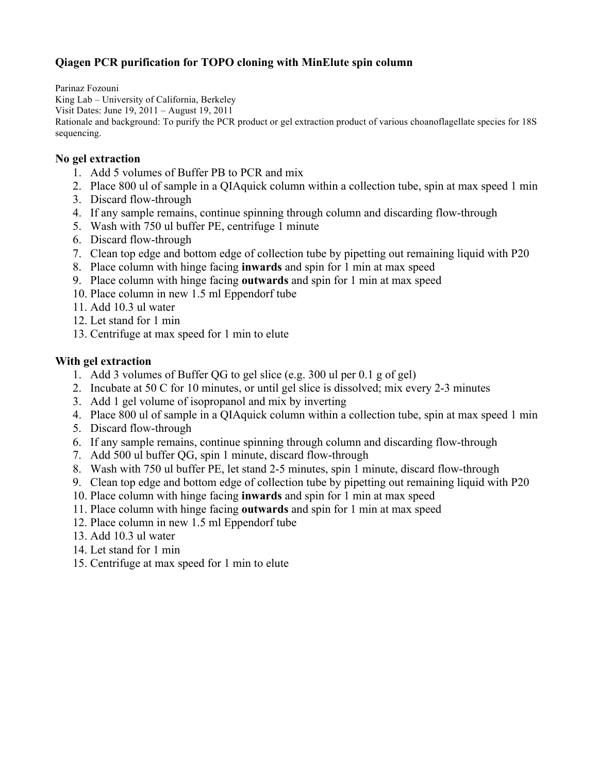# **Qiagen PCR purification for TOPO cloning with MinElute spin column**

Parinaz Fozouni King Lab – University of California, Berkeley Visit Dates: June 19, 2011 – August 19, 2011 Rationale and background: To purify the PCR product or gel extraction product of various choanoflagellate species for 18S sequencing.

#### **No gel extraction**

- 1. Add 5 volumes of Buffer PB to PCR and mix
- 2. Place 800 ul of sample in a QIAquick column within a collection tube, spin at max speed 1 min
- 3. Discard flow-through
- 4. If any sample remains, continue spinning through column and discarding flow-through
- 5. Wash with 750 ul buffer PE, centrifuge 1 minute
- 6. Discard flow-through
- 7. Clean top edge and bottom edge of collection tube by pipetting out remaining liquid with P20
- 8. Place column with hinge facing **inwards** and spin for 1 min at max speed
- 9. Place column with hinge facing **outwards** and spin for 1 min at max speed
- 10. Place column in new 1.5 ml Eppendorf tube
- 11. Add 10.3 ul water
- 12. Let stand for 1 min
- 13. Centrifuge at max speed for 1 min to elute

#### **With gel extraction**

- 1. Add 3 volumes of Buffer QG to gel slice (e.g. 300 ul per 0.1 g of gel)
- 2. Incubate at 50 C for 10 minutes, or until gel slice is dissolved; mix every 2-3 minutes
- 3. Add 1 gel volume of isopropanol and mix by inverting
- 4. Place 800 ul of sample in a QIAquick column within a collection tube, spin at max speed 1 min
- 5. Discard flow-through
- 6. If any sample remains, continue spinning through column and discarding flow-through
- 7. Add 500 ul buffer QG, spin 1 minute, discard flow-through
- 8. Wash with 750 ul buffer PE, let stand 2-5 minutes, spin 1 minute, discard flow-through
- 9. Clean top edge and bottom edge of collection tube by pipetting out remaining liquid with P20
- 10. Place column with hinge facing **inwards** and spin for 1 min at max speed
- 11. Place column with hinge facing **outwards** and spin for 1 min at max speed
- 12. Place column in new 1.5 ml Eppendorf tube
- 13. Add 10.3 ul water
- 14. Let stand for 1 min
- 15. Centrifuge at max speed for 1 min to elute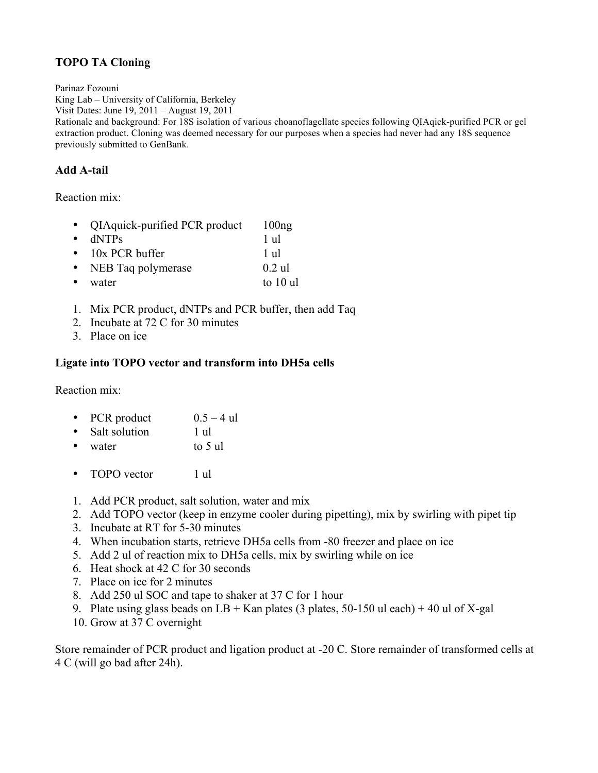## **TOPO TA Cloning**

Parinaz Fozouni

King Lab – University of California, Berkeley Visit Dates: June 19, 2011 – August 19, 2011 Rationale and background: For 18S isolation of various choanoflagellate species following QIAqick-purified PCR or gel extraction product. Cloning was deemed necessary for our purposes when a species had never had any 18S sequence previously submitted to GenBank.

## **Add A-tail**

Reaction mix:

|           | • QIAquick-purified PCR product | 100ng      |
|-----------|---------------------------------|------------|
| $\bullet$ | dNTPs                           | 1 ul       |
|           | $\bullet$ 10x PCR buffer        | 1 ul       |
|           | • NEB Taq polymerase            | $0.2$ ul   |
| $\bullet$ | water                           | to $10$ ul |

- 1. Mix PCR product, dNTPs and PCR buffer, then add Taq
- 2. Incubate at 72 C for 30 minutes
- 3. Place on ice

## **Ligate into TOPO vector and transform into DH5a cells**

Reaction mix:

- PCR product  $0.5 4$  ul
- Salt solution 1 ul
- water to 5 ul
- TOPO vector 1 ul
- 1. Add PCR product, salt solution, water and mix
- 2. Add TOPO vector (keep in enzyme cooler during pipetting), mix by swirling with pipet tip
- 3. Incubate at RT for 5-30 minutes
- 4. When incubation starts, retrieve DH5a cells from -80 freezer and place on ice
- 5. Add 2 ul of reaction mix to DH5a cells, mix by swirling while on ice
- 6. Heat shock at 42 C for 30 seconds
- 7. Place on ice for 2 minutes
- 8. Add 250 ul SOC and tape to shaker at 37 C for 1 hour
- 9. Plate using glass beads on  $LB + Kan$  plates (3 plates, 50-150 ul each) + 40 ul of X-gal
- 10. Grow at 37 C overnight

Store remainder of PCR product and ligation product at -20 C. Store remainder of transformed cells at 4 C (will go bad after 24h).